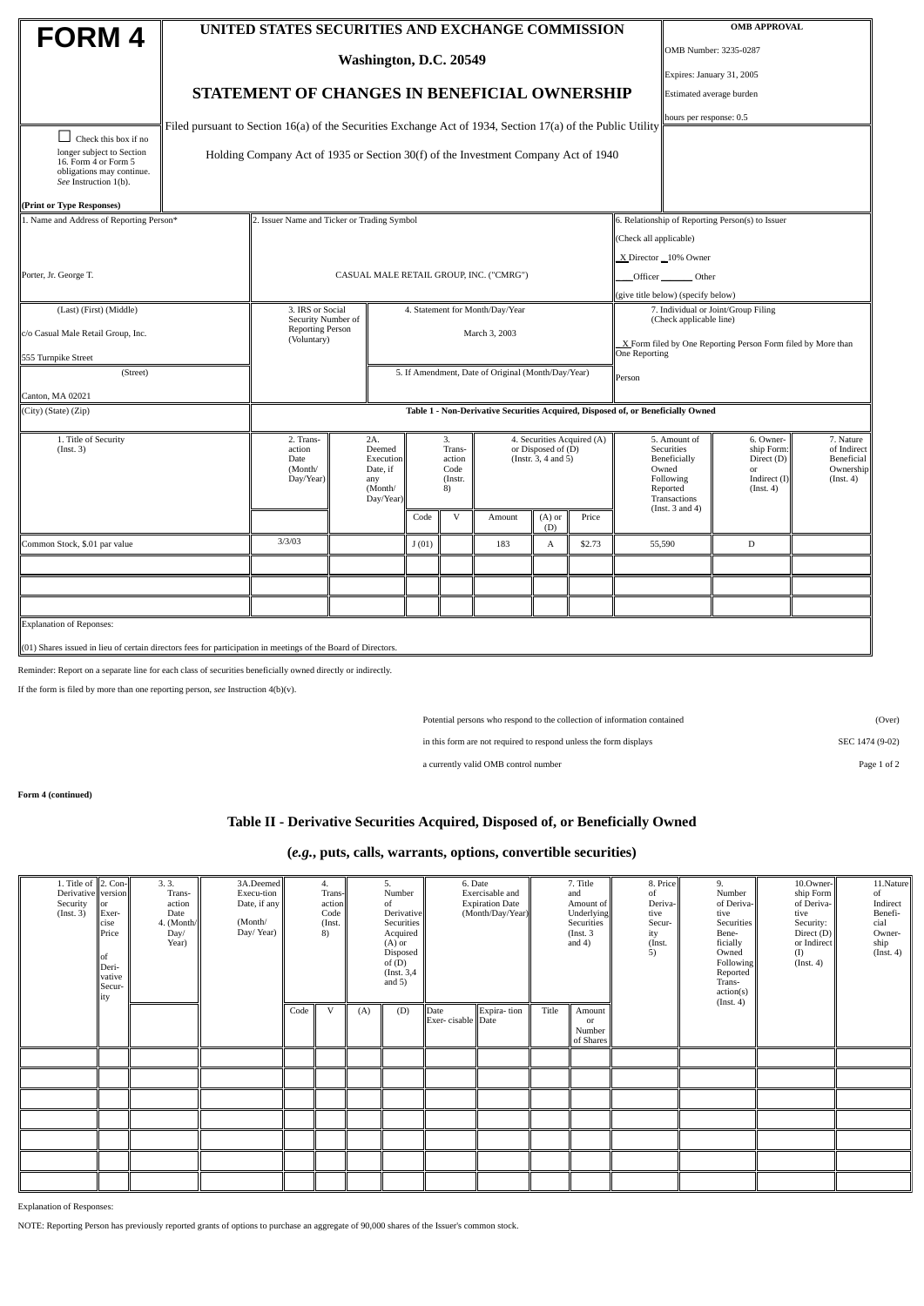| <b>FORM4</b>                                                                                                    |                                                                                                             | UNITED STATES SECURITIES AND EXCHANGE COMMISSION                                   |                                                                       |                                 | <b>OMB APPROVAL</b>                             |        |                                                  |                            |        |                                                                                                                                                                                                                                                                   |                                                                |                           |  |  |  |
|-----------------------------------------------------------------------------------------------------------------|-------------------------------------------------------------------------------------------------------------|------------------------------------------------------------------------------------|-----------------------------------------------------------------------|---------------------------------|-------------------------------------------------|--------|--------------------------------------------------|----------------------------|--------|-------------------------------------------------------------------------------------------------------------------------------------------------------------------------------------------------------------------------------------------------------------------|----------------------------------------------------------------|---------------------------|--|--|--|
|                                                                                                                 |                                                                                                             |                                                                                    |                                                                       |                                 | OMB Number: 3235-0287                           |        |                                                  |                            |        |                                                                                                                                                                                                                                                                   |                                                                |                           |  |  |  |
|                                                                                                                 | Washington, D.C. 20549                                                                                      |                                                                                    |                                                                       |                                 |                                                 |        |                                                  |                            |        |                                                                                                                                                                                                                                                                   |                                                                | Expires: January 31, 2005 |  |  |  |
|                                                                                                                 |                                                                                                             | STATEMENT OF CHANGES IN BENEFICIAL OWNERSHIP                                       |                                                                       |                                 |                                                 |        |                                                  |                            |        |                                                                                                                                                                                                                                                                   | Estimated average burden                                       |                           |  |  |  |
|                                                                                                                 |                                                                                                             |                                                                                    |                                                                       |                                 |                                                 |        | hours per response: 0.5                          |                            |        |                                                                                                                                                                                                                                                                   |                                                                |                           |  |  |  |
| Check this box if no                                                                                            | Filed pursuant to Section 16(a) of the Securities Exchange Act of 1934, Section 17(a) of the Public Utility |                                                                                    |                                                                       |                                 |                                                 |        |                                                  |                            |        |                                                                                                                                                                                                                                                                   |                                                                |                           |  |  |  |
| longer subject to Section<br>16. Form 4 or Form 5<br>obligations may continue.<br>See Instruction 1(b).         |                                                                                                             | Holding Company Act of 1935 or Section 30(f) of the Investment Company Act of 1940 |                                                                       |                                 |                                                 |        |                                                  |                            |        |                                                                                                                                                                                                                                                                   |                                                                |                           |  |  |  |
| (Print or Type Responses)                                                                                       |                                                                                                             |                                                                                    |                                                                       |                                 |                                                 |        |                                                  |                            |        |                                                                                                                                                                                                                                                                   |                                                                |                           |  |  |  |
| 1. Name and Address of Reporting Person*                                                                        |                                                                                                             | 2. Issuer Name and Ticker or Trading Symbol                                        |                                                                       |                                 |                                                 |        | 6. Relationship of Reporting Person(s) to Issuer |                            |        |                                                                                                                                                                                                                                                                   |                                                                |                           |  |  |  |
|                                                                                                                 |                                                                                                             |                                                                                    |                                                                       |                                 |                                                 |        |                                                  |                            |        |                                                                                                                                                                                                                                                                   | (Check all applicable)                                         |                           |  |  |  |
|                                                                                                                 |                                                                                                             |                                                                                    |                                                                       |                                 |                                                 |        |                                                  |                            |        |                                                                                                                                                                                                                                                                   | X Director 10% Owner                                           |                           |  |  |  |
| Porter, Jr. George T.                                                                                           |                                                                                                             |                                                                                    |                                                                       |                                 |                                                 |        | CASUAL MALE RETAIL GROUP, INC. ("CMRG")          |                            |        |                                                                                                                                                                                                                                                                   | Officer Other                                                  |                           |  |  |  |
|                                                                                                                 |                                                                                                             |                                                                                    |                                                                       |                                 |                                                 |        |                                                  |                            |        |                                                                                                                                                                                                                                                                   | (give title below) (specify below)                             |                           |  |  |  |
| (Last) (First) (Middle)                                                                                         |                                                                                                             | 3. IRS or Social<br>Security Number of                                             |                                                                       | 4. Statement for Month/Day/Year |                                                 |        |                                                  |                            |        |                                                                                                                                                                                                                                                                   | 7. Individual or Joint/Group Filing<br>(Check applicable line) |                           |  |  |  |
| c/o Casual Male Retail Group, Inc.                                                                              | <b>Reporting Person</b><br>(Voluntary)                                                                      |                                                                                    | March 3, 2003                                                         |                                 |                                                 |        |                                                  |                            |        | X Form filed by One Reporting Person Form filed by More than                                                                                                                                                                                                      |                                                                |                           |  |  |  |
| 555 Turnpike Street                                                                                             |                                                                                                             |                                                                                    |                                                                       |                                 |                                                 |        |                                                  |                            |        | One Reporting                                                                                                                                                                                                                                                     |                                                                |                           |  |  |  |
| (Street)                                                                                                        |                                                                                                             |                                                                                    | 5. If Amendment, Date of Original (Month/Day/Year)                    |                                 |                                                 |        |                                                  |                            | Person |                                                                                                                                                                                                                                                                   |                                                                |                           |  |  |  |
| Canton, MA 02021                                                                                                |                                                                                                             |                                                                                    |                                                                       |                                 |                                                 |        |                                                  |                            |        |                                                                                                                                                                                                                                                                   |                                                                |                           |  |  |  |
| (City) (State) (Zip)                                                                                            | Table 1 - Non-Derivative Securities Acquired, Disposed of, or Beneficially Owned                            |                                                                                    |                                                                       |                                 |                                                 |        |                                                  |                            |        |                                                                                                                                                                                                                                                                   |                                                                |                           |  |  |  |
| 1. Title of Security<br>(Inst. 3)                                                                               | 2. Trans-<br>action<br>Date<br>(Month/<br>Day/Year)                                                         |                                                                                    | 2A.<br>Deemed<br>Execution<br>Date, if<br>any<br>(Month/<br>Day/Year) |                                 | 3.<br>Trans-<br>action<br>Code<br>(Instr.<br>8) |        | or Disposed of (D)<br>(Instr. 3, 4 and 5)        | 4. Securities Acquired (A) |        | 5. Amount of<br>6. Owner-<br>7. Nature<br>ship Form:<br>of Indirect<br>Securities<br>Direct (D)<br>Beneficially<br>Beneficial<br>Owned<br>Ownership<br>or<br>Following<br>Indirect $(I)$<br>(Inst. 4)<br>Reported<br>(Inst. 4)<br>Transactions<br>(Inst. 3 and 4) |                                                                |                           |  |  |  |
|                                                                                                                 |                                                                                                             |                                                                                    |                                                                       | Code                            | $\ensuremath{\mathbf{V}}$                       | Amount | $(A)$ or<br>(D)                                  | Price                      |        |                                                                                                                                                                                                                                                                   |                                                                |                           |  |  |  |
| Common Stock, \$.01 par value                                                                                   | 3/3/03                                                                                                      |                                                                                    |                                                                       | J(01)                           |                                                 | 183    | $\boldsymbol{A}$                                 | \$2.73                     |        | 55,590                                                                                                                                                                                                                                                            | $\mathbb D$                                                    |                           |  |  |  |
|                                                                                                                 |                                                                                                             |                                                                                    |                                                                       |                                 |                                                 |        |                                                  |                            |        |                                                                                                                                                                                                                                                                   |                                                                |                           |  |  |  |
|                                                                                                                 |                                                                                                             |                                                                                    |                                                                       |                                 |                                                 |        |                                                  |                            |        |                                                                                                                                                                                                                                                                   |                                                                |                           |  |  |  |
|                                                                                                                 |                                                                                                             |                                                                                    |                                                                       |                                 |                                                 |        |                                                  |                            |        |                                                                                                                                                                                                                                                                   |                                                                |                           |  |  |  |
| <b>Explanation of Reponses:</b>                                                                                 |                                                                                                             |                                                                                    |                                                                       |                                 |                                                 |        |                                                  |                            |        |                                                                                                                                                                                                                                                                   |                                                                |                           |  |  |  |
| $(01)$ Shares issued in lieu of certain directors fees for participation in meetings of the Board of Directors. |                                                                                                             |                                                                                    |                                                                       |                                 |                                                 |        |                                                  |                            |        |                                                                                                                                                                                                                                                                   |                                                                |                           |  |  |  |

Reminder: Report on a separate line for each class of securities beneficially owned directly or indirectly.

If the form is filed by more than one reporting person, *see* Instruction 4(b)(v).

Potential persons who respond to the collection of information contained (Over)

in this form are not required to respond unless the form displays SEC 1474 (9-02)

a currently valid OMB control number Page 1 of 2

**Form 4 (continued)**

## **Table II - Derivative Securities Acquired, Disposed of, or Beneficially Owned**

## **(***e.g.***, puts, calls, warrants, options, convertible securities)**

| 1. Title of $  2$ . Con- $  $<br>Derivative version<br>Security<br>(Inst. 3) | lor<br>Exer-<br>cise<br>Price<br>of<br>Deri-<br>vative<br>Secur-<br>ity | 3.3.<br>Trans-<br>action<br>Date<br>4. (Month/<br>Day/<br>Year) | 3A.Deemed<br>Execu-tion<br>Date, if any<br>(Month/<br>Day/Year) | 4.<br>Trans-<br>action<br>Code<br>(Inst.<br>$\left(8\right)$ |   | 5.<br>Number<br>of<br>Derivative<br>Securities<br>Acquired<br>$(A)$ or<br>Disposed<br>of $(D)$<br>(Inst. 3,4)<br>and $5)$ |     | 6. Date<br>Exercisable and<br><b>Expiration Date</b><br>(Month/Day/Year) |             | 7. Title<br>and<br>Amount of<br>Underlying<br>Securities<br>(Inst. 3)<br>and $4)$ |                                     | 8. Price<br>of<br>Deriva-<br>tive<br>Secur-<br>ity<br>(Inst.<br>5) | 9.<br>Number<br>of Deriva-<br>tive<br>Securities<br>Bene-<br>ficially<br>Owned<br>Following<br>Reported<br>Trans-<br>action(s) | 10.Owner-<br>ship Form<br>of Deriva-<br>tive<br>Security:<br>Direct (D)<br>or Indirect<br>(I)<br>$($ Inst. 4 $)$ | 11.Nature<br>of<br>Indirect<br>Benefi-<br>cial<br>Owner-<br>ship<br>(Inst. 4) |
|------------------------------------------------------------------------------|-------------------------------------------------------------------------|-----------------------------------------------------------------|-----------------------------------------------------------------|--------------------------------------------------------------|---|---------------------------------------------------------------------------------------------------------------------------|-----|--------------------------------------------------------------------------|-------------|-----------------------------------------------------------------------------------|-------------------------------------|--------------------------------------------------------------------|--------------------------------------------------------------------------------------------------------------------------------|------------------------------------------------------------------------------------------------------------------|-------------------------------------------------------------------------------|
|                                                                              |                                                                         |                                                                 |                                                                 | Code                                                         | V | (A)                                                                                                                       | (D) | Date<br>Exer-cisable Date                                                | Expira-tion | Title                                                                             | Amount<br>or<br>Number<br>of Shares |                                                                    | (Inst. 4)                                                                                                                      |                                                                                                                  |                                                                               |
|                                                                              |                                                                         |                                                                 |                                                                 |                                                              |   |                                                                                                                           |     |                                                                          |             |                                                                                   |                                     |                                                                    |                                                                                                                                |                                                                                                                  |                                                                               |
|                                                                              |                                                                         |                                                                 |                                                                 |                                                              |   |                                                                                                                           |     |                                                                          |             |                                                                                   |                                     |                                                                    |                                                                                                                                |                                                                                                                  |                                                                               |
|                                                                              |                                                                         |                                                                 |                                                                 |                                                              |   |                                                                                                                           |     |                                                                          |             |                                                                                   |                                     |                                                                    |                                                                                                                                |                                                                                                                  |                                                                               |
|                                                                              |                                                                         |                                                                 |                                                                 |                                                              |   |                                                                                                                           |     |                                                                          |             |                                                                                   |                                     |                                                                    |                                                                                                                                |                                                                                                                  |                                                                               |
|                                                                              |                                                                         |                                                                 |                                                                 |                                                              |   |                                                                                                                           |     |                                                                          |             |                                                                                   |                                     |                                                                    |                                                                                                                                |                                                                                                                  |                                                                               |
|                                                                              |                                                                         |                                                                 |                                                                 |                                                              |   |                                                                                                                           |     |                                                                          |             |                                                                                   |                                     |                                                                    |                                                                                                                                |                                                                                                                  |                                                                               |
|                                                                              |                                                                         |                                                                 |                                                                 |                                                              |   |                                                                                                                           |     |                                                                          |             |                                                                                   |                                     |                                                                    |                                                                                                                                |                                                                                                                  |                                                                               |

Explanation of Responses:

NOTE: Reporting Person has previously reported grants of options to purchase an aggregate of 90,000 shares of the Issuer's common stock.